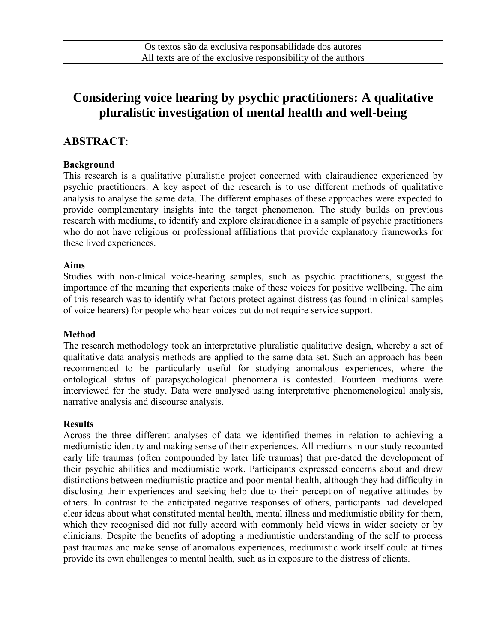# **Considering voice hearing by psychic practitioners: A qualitative pluralistic investigation of mental health and well-being**

# **ABSTRACT**:

# **Background**

This research is a qualitative pluralistic project concerned with clairaudience experienced by psychic practitioners. A key aspect of the research is to use different methods of qualitative analysis to analyse the same data. The different emphases of these approaches were expected to provide complementary insights into the target phenomenon. The study builds on previous research with mediums, to identify and explore clairaudience in a sample of psychic practitioners who do not have religious or professional affiliations that provide explanatory frameworks for these lived experiences.

# **Aims**

Studies with non-clinical voice-hearing samples, such as psychic practitioners, suggest the importance of the meaning that experients make of these voices for positive wellbeing. The aim of this research was to identify what factors protect against distress (as found in clinical samples of voice hearers) for people who hear voices but do not require service support.

# **Method**

The research methodology took an interpretative pluralistic qualitative design, whereby a set of qualitative data analysis methods are applied to the same data set. Such an approach has been recommended to be particularly useful for studying anomalous experiences, where the ontological status of parapsychological phenomena is contested. Fourteen mediums were interviewed for the study. Data were analysed using interpretative phenomenological analysis, narrative analysis and discourse analysis.

# **Results**

Across the three different analyses of data we identified themes in relation to achieving a mediumistic identity and making sense of their experiences. All mediums in our study recounted early life traumas (often compounded by later life traumas) that pre-dated the development of their psychic abilities and mediumistic work. Participants expressed concerns about and drew distinctions between mediumistic practice and poor mental health, although they had difficulty in disclosing their experiences and seeking help due to their perception of negative attitudes by others. In contrast to the anticipated negative responses of others, participants had developed clear ideas about what constituted mental health, mental illness and mediumistic ability for them, which they recognised did not fully accord with commonly held views in wider society or by clinicians. Despite the benefits of adopting a mediumistic understanding of the self to process past traumas and make sense of anomalous experiences, mediumistic work itself could at times provide its own challenges to mental health, such as in exposure to the distress of clients.